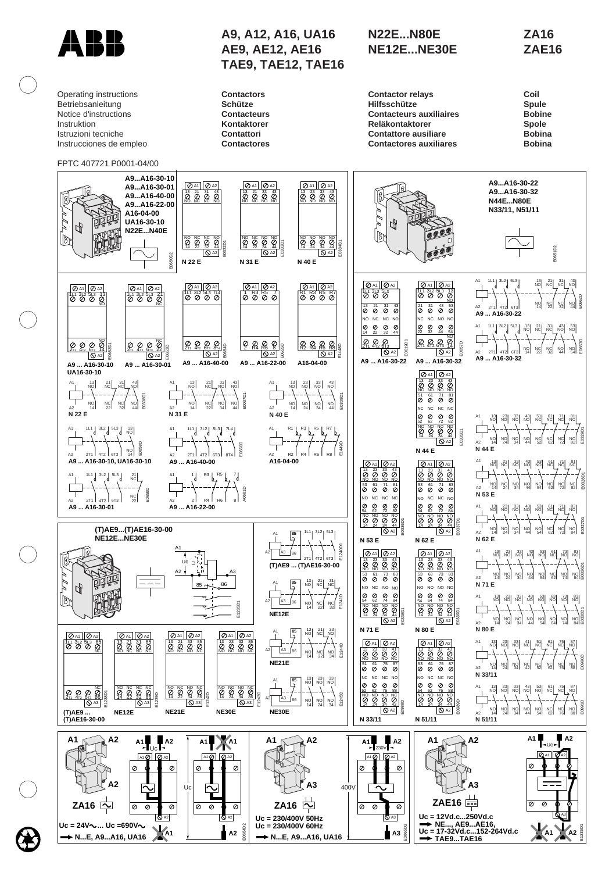

Operating instructions Betriebsanleitung Notice d'instructions Instruktion Istruzioni tecniche Instrucciones de empleo

FPTC 407721 P0001-04/00

## **A9, A12, A16, UA16 AE9, AE12, AE16 TAE9, TAE12, TAE16**

**Contactors Schütze Contacteurs Kontaktorer Contattori Contactores**

## **N22E...N80E NE12E...NE30E**

**ZA16 ZAE16**

| <b>Contactor relays</b>        | Coil          |
|--------------------------------|---------------|
| <b>Hilfsschütze</b>            | <b>Spule</b>  |
| <b>Contacteurs auxiliaires</b> | <b>Bobine</b> |
| <b>Reläkontaktorer</b>         | <b>Spole</b>  |
| <b>Contattore ausiliare</b>    | <b>Bobina</b> |
| <b>Contactores auxiliares</b>  | <b>Bobina</b> |